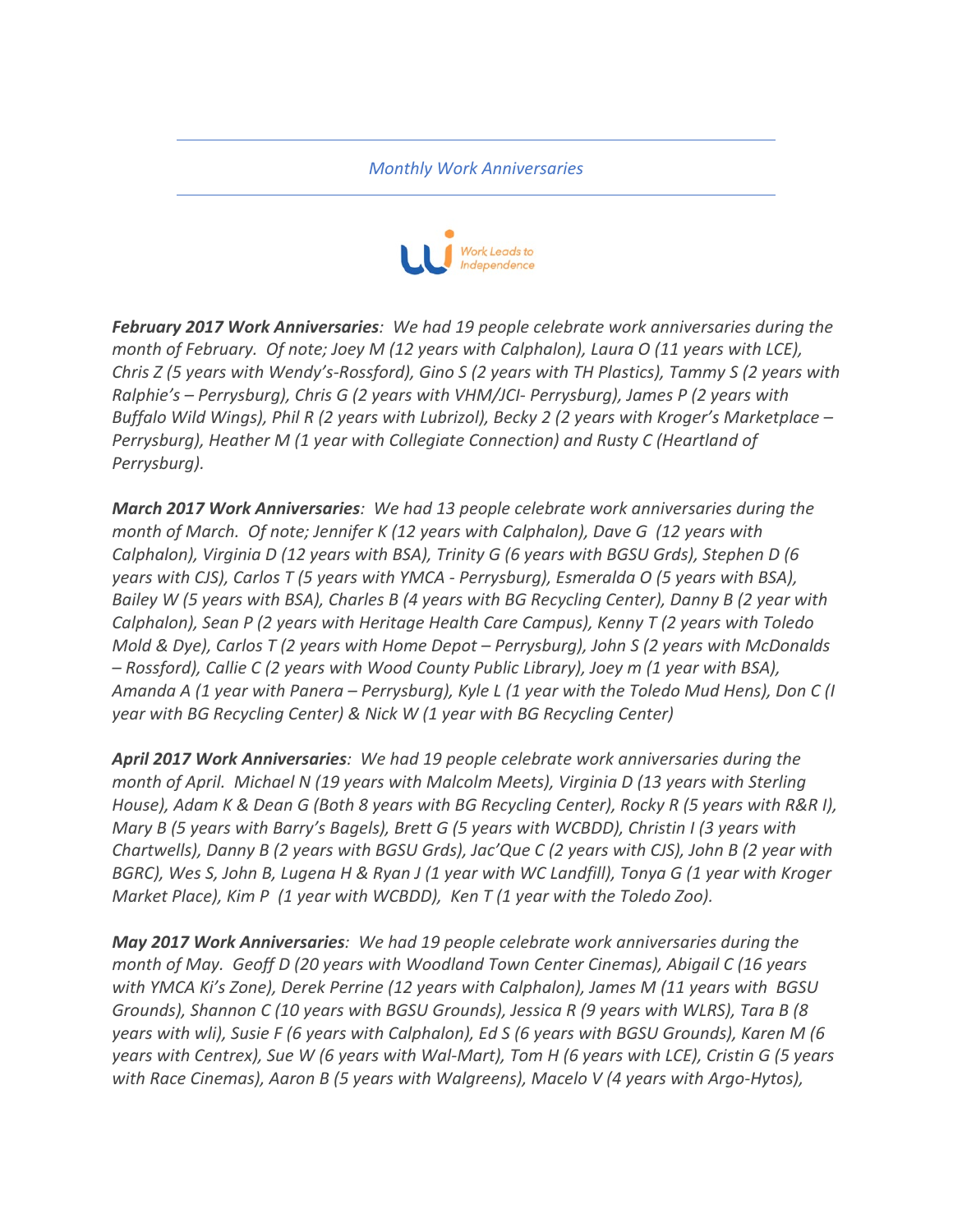*Monthly Work Anniversaries*



**February 2017 Work Anniversaries**: We had 19 people celebrate work anniversaries during the *month of February. Of note; Joey M (12 years with Calphalon), Laura O (11 years with LCE), Chris* Z (5 years with Wendy's-Rossford), Gino S (2 years with TH Plastics), Tammy S (2 years with *Ralphie's* – Perrysburg), Chris G (2 years with VHM/JCI- Perrysburg), James P (2 years with *Buffalo Wild Wings), Phil R (2 years with Lubrizol), Becky 2 (2 years with Kroger's Marketplace – Perrysburg), Heather M (1 year with Collegiate Connection)* and Rusty C (Heartland of *Perrysburg*).

*March 2017 Work Anniversaries: We had 13 people celebrate work anniversaries during the month of March. Of note; Jennifer K* (12 years with Calphalon), Dave G (12 years with *Calphalon), Virginia D* (12 years with BSA), Trinity G (6 years with BGSU Grds), Stephen D (6 *years* with CJS), Carlos T (5 years with YMCA - Perrysburg), Esmeralda O (5 years with BSA), *Bailey* W (5 years with BSA), Charles B (4 years with BG Recycling Center), Danny B (2 year with *Calphalon), Sean P (2 years with Heritage Health Care Campus), Kenny T (2 years with Toledo Mold & Dye), Carlos T* (2 years with Home Depot – Perrysburg), John S (2 years with McDonalds  $-$  *Rossford*), Callie C (2 years with Wood County Public Library), Joey m (1 year with BSA), *Amanda* A (1 year with Panera – Perrysburg), Kyle L (1 year with the Toledo Mud Hens), Don C (I *year* with BG Recycling Center) & Nick W (1 year with BG Recycling Center)

April 2017 Work Anniversaries: We had 19 people celebrate work anniversaries during the *month of April. Michael N (19 years with Malcolm Meets), Virginia D (13 years with Sterling House),* Adam *K* & Dean G (Both 8 years with BG Recycling Center), Rocky R (5 years with R&R I), *Mary B* (5 years with Barry's Bagels), Brett G (5 years with WCBDD), Christin I (3 years with *Chartwells), Danny B (2 years with BGSU Grds), Jac'Que C (2 years with CJS), John B (2 year with BGRC),* Wes S, John B, Lugena H & Ryan J (1 year with WC Landfill), Tonya G (1 year with Kroger *Market Place), Kim P* (1 year with WCBDD), Ken T (1 year with the Toledo Zoo).

**May 2017 Work Anniversaries**: We had 19 people celebrate work anniversaries during the *month of May.* Geoff D (20 years with Woodland Town Center Cinemas), Abigail C (16 years with YMCA Ki's Zone), Derek Perrine (12 years with Calphalon), James M (11 years with BGSU *Grounds), Shannon C* (10 years with BGSU Grounds), Jessica R (9 years with WLRS), Tara B (8 *years* with wli), Susie F (6 years with Calphalon), Ed S (6 years with BGSU Grounds), Karen M (6 *years* with Centrex), Sue W (6 years with Wal-Mart), Tom H (6 years with LCE), Cristin G (5 years *with Race Cinemas), Aaron B (5 years with Walgreens), Macelo V (4 years with Argo-Hytos),*